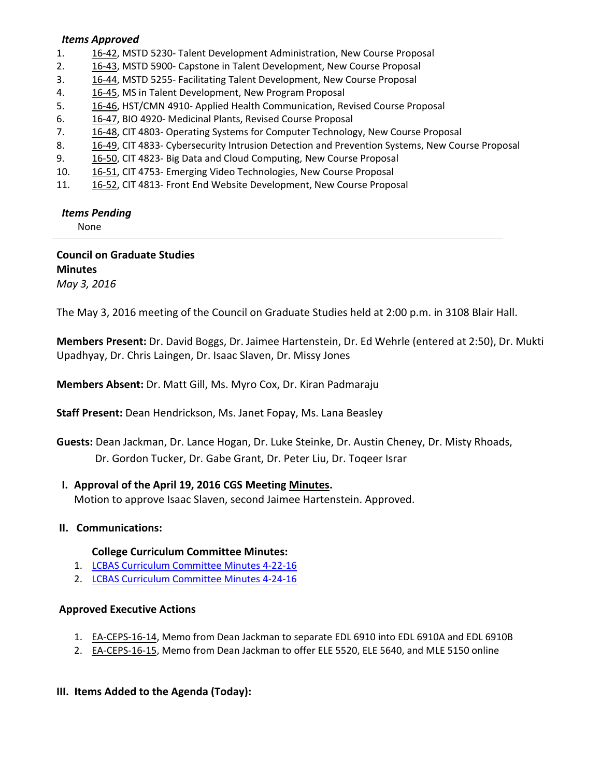#### *Items Approved*

- 1. [16](http://castle.eiu.edu/~eiucgs/currentagendaitems/agenda16-42.pdf)-42, MSTD 5230- Talent Development Administration, New Course Proposal
- 2. 16‐[43,](http://castle.eiu.edu/~eiucgs/currentagendaitems/agenda16-43.pdf) MSTD 5900‐ Capstone in Talent Development, New Course Proposal
- 3. 16‐[44,](http://castle.eiu.edu/~eiucgs/currentagendaitems/agenda16-44.pdf) MSTD 5255‐ Facilitating Talent Development, New Course Proposal
- 4. 16‐[45,](http://castle.eiu.edu/~eiucgs/currentagendaitems/agenda16-45.pdf) MS in Talent Development, New Program Proposal
- 5. 16‐[46,](http://castle.eiu.edu/~eiucgs/currentagendaitems/agenda16-46.pdf) HST/CMN 4910‐ Applied Health Communication, Revised Course Proposal
- 6. [16](http://castle.eiu.edu/~eiucgs/currentagendaitems/agenda16-47.pdf)‐47, BIO 4920‐ Medicinal Plants, Revised Course Proposal
- 7. 16-[48,](http://castle.eiu.edu/~eiucgs/currentagendaitems/agenda16-48.pdf) CIT 4803- Operating Systems for Computer Technology, New Course Proposal
- 8. 16-[49,](http://castle.eiu.edu/~eiucgs/currentagendaitems/agenda16-49.pdf) CIT 4833- Cybersecurity Intrusion Detection and Prevention Systems, New Course Proposal
- 9. 16-[50,](http://castle.eiu.edu/~eiucgs/currentagendaitems/agenda16-50.pdf) CIT 4823- Big Data and Cloud Computing, New Course Proposal
- 10. [16](http://castle.eiu.edu/~eiucgs/currentagendaitems/agenda16-51.pdf)-51, CIT 4753- Emerging Video Technologies, New Course Proposal
- 11. 16-[52,](http://castle.eiu.edu/~eiucgs/currentagendaitems/agenda16-52.pdf) CIT 4813- Front End Website Development, New Course Proposal

#### *Items Pending*

None

**Council on Graduate Studies Minutes** *May 3, 2016*

The May 3, 2016 meeting of the Council on Graduate Studies held at 2:00 p.m. in 3108 Blair Hall.

**Members Present:** Dr. David Boggs, Dr. Jaimee Hartenstein, Dr. Ed Wehrle (entered at 2:50), Dr. Mukti Upadhyay, Dr. Chris Laingen, Dr. Isaac Slaven, Dr. Missy Jones

**Members Absent:** Dr. Matt Gill, Ms. Myro Cox, Dr. Kiran Padmaraju

**Staff Present:** Dean Hendrickson, Ms. Janet Fopay, Ms. Lana Beasley

**Guests:** Dean Jackman, Dr. Lance Hogan, Dr. Luke Steinke, Dr. Austin Cheney, Dr. Misty Rhoads, Dr. Gordon Tucker, Dr. Gabe Grant, Dr. Peter Liu, Dr. Toqeer Israr

## **I. Approval of the April 19, 2016 CGS Meeting [Minutes.](http://castle.eiu.edu/eiucgs/currentminutes/Minutes04-19-16.pdf)**

Motion to approve Isaac Slaven, second Jaimee Hartenstein. Approved.

## **II. Communications:**

#### **College Curriculum Committee Minutes:**

- 1. LCBAS Curriculum [Committee](http://www.eiu.edu/lumpkin/Curriculum/lcbascurrmin20160422.pdf) Minutes 4-22-16
- 2. LCBAS Curriculum [Committee](http://www.eiu.edu/lumpkin/Curriculum/lcbascurrmin20160424.pdf) Minutes 4‐24‐16

## **Approved Executive Actions**

- 1. EA‐[CEPS](http://castle.eiu.edu/~eiucgs/exec-actions/EA-CEPS-16-14.pdf)‐16‐14, Memo from Dean Jackman to separate EDL 6910 into EDL 6910A and EDL 6910B
- 2. EA-[CEPS](http://castle.eiu.edu/~eiucgs/exec-actions/EA-CEPS-16-15.pdf)-16-15, Memo from Dean Jackman to offer ELE 5520, ELE 5640, and MLE 5150 online

## **III. Items Added to the Agenda (Today):**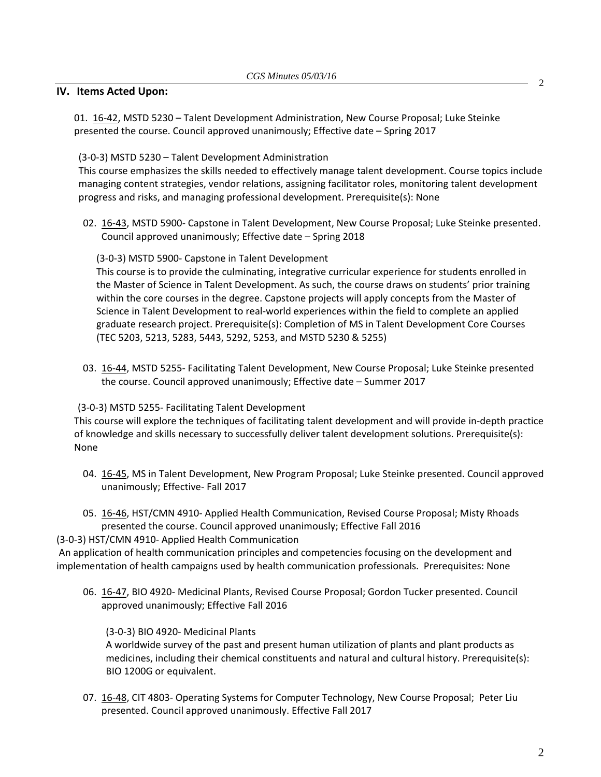#### **IV. Items Acted Upon:**

01. [16](http://castle.eiu.edu/~eiucgs/currentagendaitems/agenda16-42.pdf)-42, MSTD 5230 – Talent Development Administration, New Course Proposal; Luke Steinke presented the course. Council approved unanimously; Effective date – Spring 2017

(3‐0‐3) MSTD 5230 – Talent Development Administration

This course emphasizes the skills needed to effectively manage talent development. Course topics include managing content strategies, vendor relations, assigning facilitator roles, monitoring talent development progress and risks, and managing professional development. Prerequisite(s): None

02. 16‐43, MSTD 5900‐ Capstone in Talent Development, New Course Proposal; Luke Steinke presented. [Council](http://castle.eiu.edu/~eiucgs/currentagendaitems/agenda16-43.pdf) approved unanimously; Effective date – Spring 2018

(3‐0‐3) MSTD 5900‐ Capstone in Talent Development

This course is to provide the culminating, integrative curricular experience for students enrolled in the Master of Science in Talent Development. As such, the course draws on students' prior training within the core courses in the degree. Capstone projects will apply concepts from the Master of Science in Talent Development to real‐world experiences within the field to complete an applied graduate research project. Prerequisite(s): Completion of MS in Talent Development Core Courses (TEC 5203, 5213, 5283, 5443, 5292, 5253, and MSTD 5230 & 5255)

03. 16‐[44,](http://castle.eiu.edu/~eiucgs/currentagendaitems/agenda16-44.pdf) MSTD 5255‐ Facilitating Talent Development, New Course Proposal; Luke Steinke presented the course. Council approved unanimously; Effective date – Summer 2017

(3‐0‐3) MSTD 5255‐ Facilitating Talent Development

This course will explore the techniques of facilitating talent development and will provide in‐depth practice of knowledge and skills necessary to successfully deliver talent development solutions. Prerequisite(s): None

- 04. 16-[45,](http://castle.eiu.edu/~eiucgs/currentagendaitems/agenda16-45.pdf) MS in Talent Development, New Program Proposal; Luke Steinke presented. Council approved unanimously; Effective‐ Fall 2017
- 05[. 16](http://castle.eiu.edu/~eiucgs/currentagendaitems/agenda16-46.pdf)‐46, HST/CMN 4910‐ Applied Health Communication, Revised Course Proposal; Misty Rhoads presented the course. Council approved unanimously; Effective Fall 2016

(3‐0‐3) HST/CMN 4910‐ Applied Health Communication

An application of health communication principles and competencies focusing on the development and implementation of health campaigns used by health communication professionals. Prerequisites: None

06. 16-[47](http://castle.eiu.edu/~eiucgs/currentagendaitems/agenda16-47.pdf), BIO 4920- Medicinal Plants, Revised Course Proposal; Gordon Tucker presented. Council approved unanimously; Effective Fall 2016

(3‐0‐3) BIO 4920‐ Medicinal Plants

A worldwide survey of the past and present human utilization of plants and plant products as medicines, including their chemical constituents and natural and cultural history. Prerequisite(s): BIO 1200G or equivalent.

07[. 16](http://castle.eiu.edu/~eiucgs/currentagendaitems/agenda16-48.pdf)-48, CIT 4803- Operating Systems for Computer Technology, New Course Proposal; Peter Liu presented. Council approved unanimously. Effective Fall 2017

2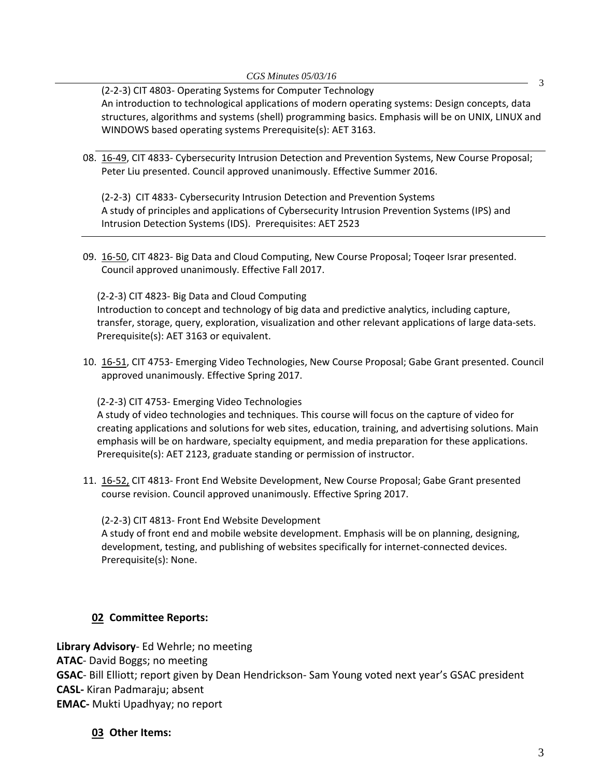(2‐2‐3) CIT 4803‐ Operating Systems for Computer Technology An introduction to technological applications of modern operating systems: Design concepts, data structures, algorithms and systems (shell) programming basics. Emphasis will be on UNIX, LINUX and WINDOWS based operating systems Prerequisite(s): AET 3163.

08. 16‐[49,](http://castle.eiu.edu/~eiucgs/currentagendaitems/agenda16-49.pdf) CIT 4833‐ Cybersecurity Intrusion Detection and Prevention Systems, New Course Proposal; Peter Liu presented. Council approved unanimously. Effective Summer 2016.

(2‐2‐3) CIT 4833‐ Cybersecurity Intrusion Detection and Prevention Systems A study of principles and applications of Cybersecurity Intrusion Prevention Systems (IPS) and Intrusion Detection Systems (IDS). Prerequisites: AET 2523

09. 16-[50,](http://castle.eiu.edu/~eiucgs/currentagendaitems/agenda16-50.pdf) CIT 4823- Big Data and Cloud Computing, New Course Proposal; Toqeer Israr presented. Council approved unanimously. Effective Fall 2017.

(2‐2‐3) CIT 4823‐ Big Data and Cloud Computing

Introduction to concept and technology of big data and predictive analytics, including capture, transfer, storage, query, exploration, visualization and other relevant applications of large data‐sets. Prerequisite(s): AET 3163 or equivalent.

10. 16‐[51,](http://castle.eiu.edu/~eiucgs/currentagendaitems/agenda16-51.pdf) CIT 4753‐ Emerging Video Technologies, New Course Proposal; Gabe Grant presented. Council approved unanimously. Effective Spring 2017.

(2‐2‐3) CIT 4753‐ Emerging Video Technologies

A study of video technologies and techniques. This course will focus on the capture of video for creating applications and solutions for web sites, education, training, and advertising solutions. Main emphasis will be on hardware, specialty equipment, and media preparation for these applications. Prerequisite(s): AET 2123, graduate standing or permission of instructor.

11. 16‐[52,](http://castle.eiu.edu/~eiucgs/currentagendaitems/agenda16-52.pdf) CIT 4813‐ Front End Website Development, New Course Proposal; Gabe Grant presented course revision. Council approved unanimously. Effective Spring 2017.

(2‐2‐3) CIT 4813‐ Front End Website Development A study of front end and mobile website development. Emphasis will be on planning, designing, development, testing, and publishing of websites specifically for internet‐connected devices. Prerequisite(s): None.

## **02 Committee Reports:**

**Library Advisory**‐ Ed Wehrle; no meeting **ATAC**‐ David Boggs; no meeting **GSAC**‐ Bill Elliott; report given by Dean Hendrickson‐ Sam Young voted next year's GSAC president **CASL‐** Kiran Padmaraju; absent **EMAC‐** Mukti Upadhyay; no report

**03 Other Items:** 

3